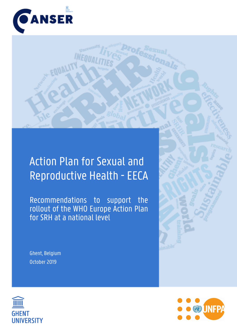

# Action Plan for Sexual and Reproductive Health - EECA

Recommendations to support the rollout of the WHO Europe Action Plan for SRH at a national level

Ghent, Belgium October 2019





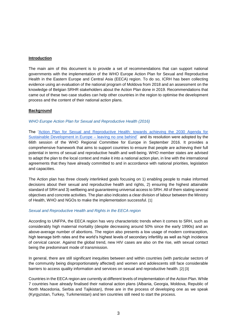#### **Introduction**

The main aim of this document is to provide a set of recommendations that can support national governments with the implementation of the WHO Europe Action Plan for Sexual and Reproductive Health in the Eastern Europe and Central Asia (EECA) region. To do so, ICRH has been collecting evidence using an evaluation of the national program of Moldova from 2018 and an assessment on the knowledge of Belgian SRHR stakeholders about the Action Plan done in 2019. Recommendations that came out of these two case studies can help other countries in the region to optimise the development process and the content of their national action plans.

# **Background**

*WHO Europe Action Plan for Sexual and Reproductive Health (2016)*

The ['Action Plan for Sexual and Reproductive Health: towards achieving the 2030 Agenda for](http://www.euro.who.int/__data/assets/pdf_file/0003/322275/Action-plan-sexual-reproductive-health.pdf?ua=1)  [Sustainable Development in Europe –](http://www.euro.who.int/__data/assets/pdf_file/0003/322275/Action-plan-sexual-reproductive-health.pdf?ua=1) leaving no one behind' and its resolution were adopted by the 66th session of the WHO Regional Committee for Europe in September 2016. It provides a comprehensive framework that aims to support countries to ensure that people are achieving their full potential in terms of sexual and reproductive health and well-being. WHO member states are advised to adapt the plan to the local context and make it into a national action plan, in line with the international agreements that they have already committed to and in accordance with national priorities, legislation and capacities.

The Action plan has three closely interlinked goals focusing on 1) enabling people to make informed decisions about their sexual and reproductive health and rights, 2) ensuring the highest attainable standard of SRH and 3) wellbeing and guaranteeing universal access to SRH. All of them stating several objectives and concrete activities. The plan also indicates a clear division of labour between the Ministry of Health, WHO and NGOs to make the implementation successful. [1]

# *Sexual and Reproductive Health and Rights in the EECA region*

According to UNFPA, the EECA region has very characteristic trends when it comes to SRH, such as considerably high maternal mortality (despite decreasing around 50% since the early 1990s) and an above-average number of abortions. The region also presents a low usage of modern contraception, high teenage birth rates and the world's highest levels of secondary infertility as well as high incidence of cervical cancer. Against the global trend, new HIV cases are also on the rise, with sexual contact being the predominant mode of transmission.

In general, there are still significant inequities between and within countries (with particular sectors of the community being disproportionately affected) and women and adolescents still face considerable barriers to access quality information and services on sexual and reproductive health. [2] [3]

Countries in the EECA region are currently at different levels of implementation of the Action Plan. While 7 countries have already finalised their national action plans (Albania, Georgia, Moldova, Republic of North Macedonia, Serbia and Tajikistan), three are in the process of developing one as we speak (Kyrgyzstan, Turkey, Turkmenistan) and ten countries still need to start the process.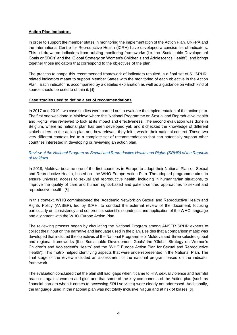# **Action Plan Indicators**

In order to support the member states in monitoring the implementation of the Action Plan, UNFPA and the International Centre for Reproductive Health (ICRH) have developed a concise list of indicators. This list draws on indicators from existing monitoring frameworks (i.e. the 'Sustainable Development Goals or SDGs' and the 'Global Strategy on Women's Children's and Adolescent's Health'), and brings together those indicators that correspond to the objectives of the plan.

The process to shape this recommended framework of indicators resulted in a final set of 51 SRHRrelated indicators meant to support Member States with the monitoring of each objective in the Action Plan. Each indicator is accompanied by a detailed explanation as well as a guidance on which kind of source should be used to obtain it. [4]

# **Case studies used to define a set of recommendations**

In 2017 and 2019, two case studies were carried out to evaluate the implementation of the action plan. The first one was done in Moldova where the 'National Programme on Sexual and Reproductive Health and Rights' was reviewed to look at its impact and effectiveness. The second evaluation was done in Belgium, where no national plan has been developed yet, and it checked the knowledge of different stakeholders on the action plan and how relevant they felt it was in their national context. These two very different contexts led to a complete set of recommendations that can potentially support other countries interested in developing or reviewing an action plan.

# *Review of the National Program on Sexual and Reproductive Health and Rights (SRHR) of the Republic of Moldova*

In 2018, Moldova became one of the first countries in Europe to adopt their National Plan on Sexual and Reproductive Health, based on the WHO Europe Action Plan. The adopted programme aims to ensure universal access to sexual and reproductive health, including in humanitarian situations, to improve the quality of care and human rights-based and patient-centred approaches to sexual and reproductive health. [5]

In this context, WHO commissioned the 'Academic Network on Sexual and Reproductive Health and Rights Policy (ANSER), led by ICRH, to conduct the external review of the document, focusing particularly on consistency and coherence, scientific soundness and application of the WHO language and alignment with the WHO Europe Action Plan.

The reviewing process began by circulating the National Program among ANSER SRHR experts to collect their input on the narrative and language used in the plan. Besides that a comparison matrix was developed that included the objectives of the National Programme of Moldova and three selected global and regional frameworks (the 'Sustainable Development Goals' the 'Global Strategy on Women's Children's and Adolescent's Health" and the "WHO Europe Action Plan for Sexual and Reproductive Health'). This matrix helped identifying aspects that were underrepresented in the National Plan. The final stage of the review included an assessment of the national program based on the indicator framework.

The evaluation concluded that the plan still had gaps when it came to HIV, sexual violence and harmful practices against women and girls and that some of the key components of the Action plan (such as financial barriers when it comes to accessing SRH services) were clearly not addressed. Additionally, the language used in the national plan was not totally inclusive, vague and at risk of biases [6].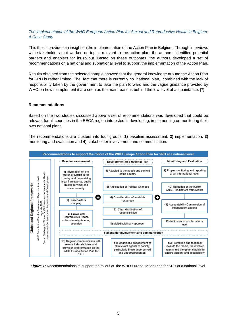# *The implementation of the WHO European Action Plan for Sexual and Reproductive Health in Belgium: A Case-Study*

This thesis provides an insight on the implementation of the Action Plan in Belgium. Through interviews with stakeholders that worked on topics relevant to the action plan, the authors identified potential barriers and enablers for its rollout. Based on these outcomes, the authors developed a set of recommendations on a national and subnational level to support the implementation of the Action Plan.

Results obtained from the selected sample showed that the general knowledge around the Action Plan for SRH is rather limited. The fact that there is currently no national plan, combined with the lack of responsibility taken by the government to take the plan forward and the vague guidance provided by WHO on how to implement it are seen as the main reasons behind the low level of acquaintance. [7]

#### **Recommendations**

Based on the two studies discussed above a set of recommendations was developed that could be relevant for all countries in the EECA region interested in developing, implementing or monitoring their own national plans.

The recommendations are clusters into four groups: **1)** baseline assessment, **2)** implementation, **3)** monitoring and evaluation and **4)** stakeholder involvement and communication.



*Figure 1:* Recommendations to support the rollout of the WHO Europe Action Plan for SRH at a national level.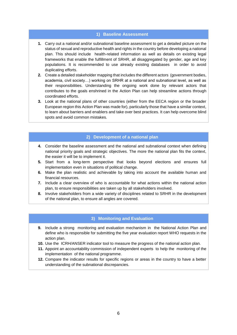#### **1) Baseline Assessment**

- **1.** Carry out a national and/or subnational baseline assessment to get a detailed picture on the status of sexual and reproductive health and rights in the country before developing a national plan. This should include health-related information as well as details on existing legal frameworks that enable the fulfillment of SRHR, all disaggregated by gender, age and key populations. It is recommended to use already existing databases in order to avoid duplicating efforts.
- **2.** Create a detailed stakeholder mapping that includes the different actors (government bodies, academia, civil society…) working on SRHR at a national and subnational level, as well as their responsibilities. Understanding the ongoing work done by relevant actors that contributes to the goals enshrined in the Action Plan can help streamline actions through coordinated efforts.
- **3.** Look at the national plans of other countries (either from the EECA region or the broader European region this Action Plan was made for), particularly those that have a similar context, to learn about barriers and enablers and take over best practices. It can help overcome blind spots and avoid common mistakes.

# **2) Development of a national plan**

- **4.** Consider the baseline assessment and the national and subnational context when defining national priority goals and strategic objectives. The more the national plan fits the context, the easier it will be to implement it.
- **5.** Start from a long-term perspective that looks beyond elections and ensures full implementation even in situations of political change.
- **6.** Make the plan realistic and achievable by taking into account the available human and financial resources.
- **7.** Include a clear overview of who is accountable for what actions within the national action plan, to ensure responsibilities are taken up by all stakeholders involved.
- **8.** Involve stakeholders from a wide variety of disciplines related to SRHR in the development of the national plan, to ensure all angles are covered.

# **3) Monitoring and Evaluation**

- **9.** Include a strong monitoring and evaluation mechanism in the National Action Plan and define who is responsible for submitting the five year evaluation report WHO requests in the action plan.
- **10.** Use the ICRH/ANSER indicator tool to measure the progress of the national action plan.
- **11.** Appoint an accountability commission of independent experts to help the monitoring of the implementation of the national programme.
- **12.** Compare the indicator results for specific regions or areas in the country to have a better understanding of the subnational discrepancies.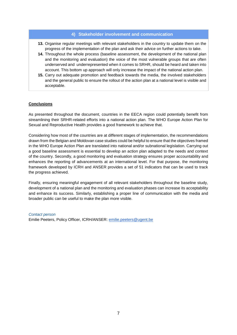#### **4) Stakeholder involvement and communication**

- **13.** Organise regular meetings with relevant stakeholders in the country to update them on the progress of the implementation of the plan and ask their advice on further actions to take.
- **14.** Throughout the whole process (baseline assessment, the development of the national plan and the monitoring and evaluation) the voice of the most vulnerable groups that are often underserved and underrepresented when it comes to SRHR, should be heard and taken into account. This bottom up approach will only increase the impact of the national action plan.
- **15.** Carry out adequate promotion and feedback towards the media, the involved stakeholders and the general public to ensure the rollout of the action plan at a national level is visible and acceptable.

# **Conclusions**

As presented throughout the document, countries in the EECA region could potentially benefit from streamlining their SRHR-related efforts into a national action plan. The WHO Europe Action Plan for Sexual and Reproductive Health provides a good framework to achieve that.

Considering how most of the countries are at different stages of implementation, the recommendations drawn from the Belgian and Moldovan case studies could be helpful to ensure that the objectives framed in the WHO Europe Action Plan are translated into national and/or subnational legislation. Carrying out a good baseline assessment is essential to develop an action plan adapted to the needs and context of the country. Secondly, a good monitoring and evaluation strategy ensures proper accountability and enhances the reporting of advancements at an international level. For that purpose, the monitoring framework developed by ICRH and ANSER provides a set of 51 indicators that can be used to track the progress achieved.

Finally, ensuring meaningful engagement of all relevant stakeholders throughout the baseline study, development of a national plan and the monitoring and evaluation phases can increase its acceptability and enhance its success. Similarly, establishing a proper line of communication with the media and broader public can be useful to make the plan more visible.

#### *Contact person*

Emilie Peeters, Policy Officer, ICRH/ANSER: [emilie.peeters@ugent.be](mailto:emilie.peeters@ugent.be)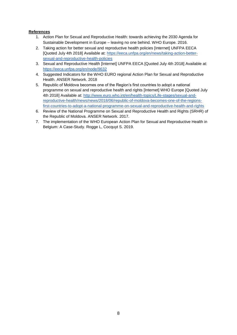# **References**

- 1. Action Plan for Sexual and Reproductive Health: towards achieving the 2030 Agenda for Sustainable Development in Europe – leaving no one behind. WHO Europe. 2016.
- 2. Taking action for better sexual and reproductive health policies [Internet] UNFPA EECA [Quoted July 4th 2018] Available at: [https://eeca.unfpa.org/en/news/taking-action-better](https://eeca.unfpa.org/en/news/taking-action-better-sexual-and-reproductive-health-policies)[sexual-and-reproductive-health-policies](https://eeca.unfpa.org/en/news/taking-action-better-sexual-and-reproductive-health-policies)
- 3. Sexual and Reproductive Health [Internet] UNFPA EECA [Quoted July 4th 2018] Available at: <https://eeca.unfpa.org/en/node/9632>
- 4. Suggested Indicators for the WHO EURO regional Action Plan for Sexual and Reproductive Health. ANSER Network. 2018
- 5. Republic of Moldova becomes one of the Region's first countries to adopt a national programme on sexual and reproductive health and rights [Internet] WHO Europe [Quoted July 4th 2018] Available at: [http://www.euro.who.int/en/health-topics/Life-stages/sexual-and](http://www.euro.who.int/en/health-topics/Life-stages/sexual-and-reproductive-health/news/news/2018/06/republic-of-moldova-becomes-one-of-the-regions-first-countries-to-adopt-a-national-programme-on-sexual-and-reproductive-health-and-rights)[reproductive-health/news/news/2018/06/republic-of-moldova-becomes-one-of-the-regions](http://www.euro.who.int/en/health-topics/Life-stages/sexual-and-reproductive-health/news/news/2018/06/republic-of-moldova-becomes-one-of-the-regions-first-countries-to-adopt-a-national-programme-on-sexual-and-reproductive-health-and-rights)[first-countries-to-adopt-a-national-programme-on-sexual-and-reproductive-health-and-rights](http://www.euro.who.int/en/health-topics/Life-stages/sexual-and-reproductive-health/news/news/2018/06/republic-of-moldova-becomes-one-of-the-regions-first-countries-to-adopt-a-national-programme-on-sexual-and-reproductive-health-and-rights)
- 6. Review of the National Programme on Sexual and Reproductive Health and Rights (SRHR) of the Republic of Moldova. ANSER Network. 2017.
- 7. The implementation of the WHO European Action Plan for Sexual and Reproductive Health in Belgium: A Case-Study. Rogge L, Cocquyt S. 2019.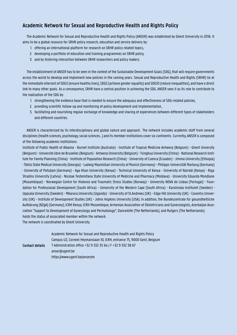# **Academic Network for Sexual and Reproductive Health and Rights Policy**

The Academic Network for Sexual and Reproductive Health and Rights Policy (ANSER) was established by Ghent University in 2016. It aims to be a global resource for SRHR policy research, education and service delivery by:

- 1. offering an international platform for research on SRHR policy related topics,
- 2. developing a portfolio of education and training programmes on SRHR policy,
- 3. and by fostering interaction between SRHR researchers and policy makers.

The establishment of ANSER has to be seen in the context of the Sustainable Development Goals (SDG), that will require governments across the world to develop and implement new policies in the coming years. Sexual and Reproductive Health and Rights (SRHR) lie at the immediate intersect of SDG3 (ensure healthy lives), SDG5 (achieve gender equality) and SDG10 (reduce inequalities), and have a direct link to many other goals. As a consequence, SRHR have a central position in achieving the SDG. ANSER sees it as its role to contribute to the realization of the SDG by:

- 1. strengthening the evidence base that is needed to ensure the adequacy and effectiveness of SDG-related policies,
- 2. providing scientific follow-up and monitoring of policy development and implementation,
- 3. facilitating and nourishing regular exchange of knowledge and sharing of experiences between different types of stakeholders and different countries.

ANSER is characterized by its interdisciplinary and global nature and approach. The network includes academic staff from several disciplines (health sciences, psychology, social sciences…) and its member institutions cover six continents. Currently, ANSER is composed of the following academic institutions:

Institute of Public Health of Albania - Burnet Institute (Australia) - Institute of Tropical Medicine Antwerp (Belgium) - Ghent Unversity (Belgium) - Universite libre de Bruxelles (Belgium) - Antwerp University (Belgium) - Tsinghua University (China) - National Research Institute for Family Planning (China) - Institute of Population Research (China) - University of Cuenca (Ecuador) - Jimma University (Ethiopia) - Tbilisi State Medical University (Georgia) - Ludwig Maximilian University of Munich (Germany) - Philipps-Universität Marburg (Germany) - University of Potsdam (Germany) - Aga Khan University (Kenya) - Technical University of Kenya - University of Nairobi (Kenya) - Riga Stradins University (Latvia) - Nicolae Testemitanu State University of Medicine and Pharmacy (Moldava) - University Eduardo Mondlane (Mozambique) - Norwegian Centre for Violence and Traumatic Stress Studies (Norway) - University NOVA de Lisboa (Portugal) - Foundation for Professional Development (South Africa) - University of the Western Cape (South Africa) - Karolinska Institutet (Sweden) - Uppsala University (Sweden) - Mbarara University (Uganda) - University of St.Andrews (UK) - Edge Hill University (UK) - Coventry University (UK) - Institute of Development Studies (UK) - Johns Hopkins University (USA). In addition, the Bundeszentrale für gesundheitliche Aufklärung (BZgA) (Germany), ICRH Kenya, ICRH Mozambique, Armenian Association of Obstetricians and Gynecologists, Azerbaijan Association "Support to Development of Gynecology and Perinatology", Dance4life (The Netherlands), and Rutgers (The Netherlands). holds the status of associated member within the network.

The network is coordinated by Ghent University.

|                        | Academic Network for Sexual and Reproductive Health and Rights Policy    |
|------------------------|--------------------------------------------------------------------------|
|                        | Campus UZ, Corneel Heymanslaan 10, ICRH, entrance 75, 9000 Gent, Belgium |
| <b>Contact details</b> | T Administration office +32 9 332 35 64 / F +32 9 332 38 67              |
|                        | anser@ugent.be                                                           |
|                        | https://www.ugent.be/anser/en                                            |